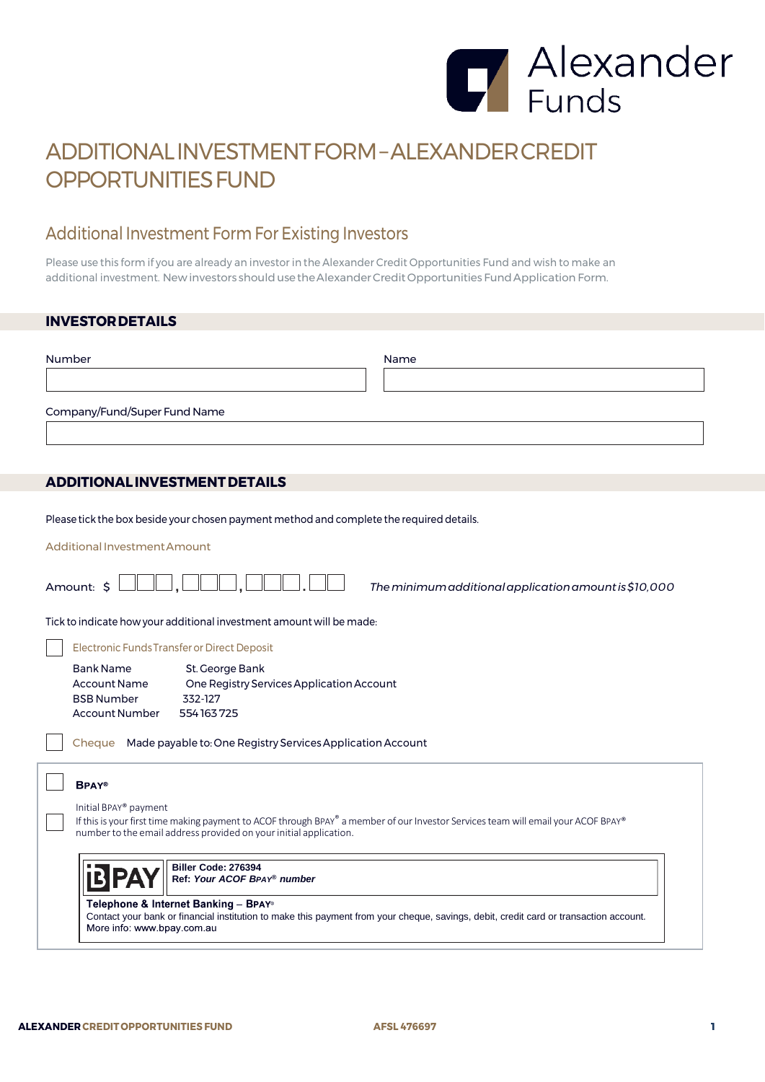

## ADDITIONALINVESTMENTFORM–ALEXANDERCREDIT OPPORTUNITIES FUND

## Additional Investment Form For Existing Investors

Please use this form if you are already an investor in the Alexander Credit Opportunities Fund and wish to make an additional investment. New investors should use the Alexander Credit Opportunities Fund Application Form.

## **INVESTORDETAILS**

| Number                                                                                                                                                                                                                                                            | Name |  |  |
|-------------------------------------------------------------------------------------------------------------------------------------------------------------------------------------------------------------------------------------------------------------------|------|--|--|
| Company/Fund/Super Fund Name                                                                                                                                                                                                                                      |      |  |  |
| <b>ADDITIONAL INVESTMENT DETAILS</b>                                                                                                                                                                                                                              |      |  |  |
|                                                                                                                                                                                                                                                                   |      |  |  |
| Please tick the box beside your chosen payment method and complete the required details.                                                                                                                                                                          |      |  |  |
| Additional Investment Amount                                                                                                                                                                                                                                      |      |  |  |
| Amount: \$<br>The minimum additional application amount is \$10,000                                                                                                                                                                                               |      |  |  |
| Tick to indicate how your additional investment amount will be made:                                                                                                                                                                                              |      |  |  |
| Electronic Funds Transfer or Direct Deposit                                                                                                                                                                                                                       |      |  |  |
| <b>Bank Name</b><br>St. George Bank<br><b>Account Name</b><br>One Registry Services Application Account<br><b>BSB Number</b><br>332-127<br>554163725<br>Account Number                                                                                            |      |  |  |
| Made payable to: One Registry Services Application Account<br>Cheque                                                                                                                                                                                              |      |  |  |
| <b>BPAY®</b><br>Initial BPAY® payment<br>If this is your first time making payment to ACOF through BPAY® a member of our Investor Services team will email your ACOF BPAY®<br>number to the email address provided on your initial application.                   |      |  |  |
| Biller Code: 276394<br>Ref: Your ACOF BPAY® number<br>Telephone & Internet Banking - BPAY®<br>Contact your bank or financial institution to make this payment from your cheque, savings, debit, credit card or transaction account.<br>More info: www.bpay.com.au |      |  |  |
|                                                                                                                                                                                                                                                                   |      |  |  |